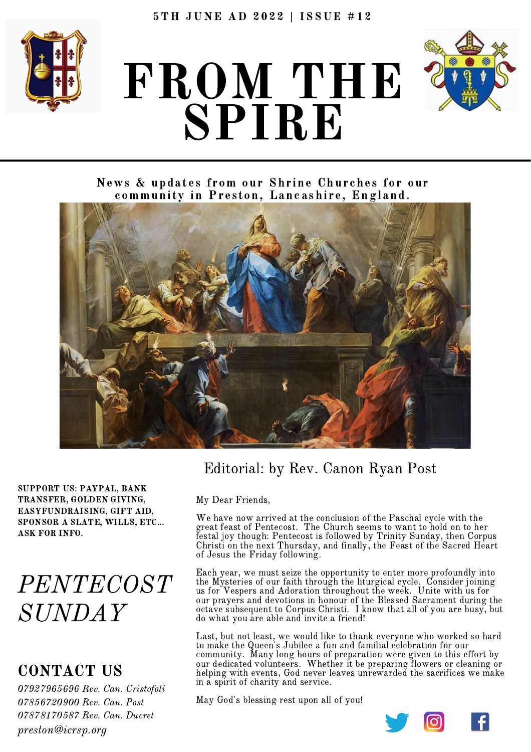

# FROM THE SPIRE



News & updates from our Shrine Churches for our community in Preston, Lancashire, England.



SUPPORT US: PAYPAL, BANK TRANSFER, GOLDEN GIVING, EASYFUNDRAISING, GIFT AID, SPONSOR A SLATE, WILLS, ETC... ASK FOR INFO.

# PENTECOST SUNDAY

## CONTACT US

 Rev. Can. Cristofoli Rev. Can. Post Rev. Can. Ducret preston@icrsp.org

## Editorial: by Rev. Canon Ryan Post

My Dear Friends,

We have now arrived at the conclusion of the Paschal cycle with the great feast of Pentecost. The Church seems to want to hold on to her festal joy though: Pentecost is followed by Trinity Sunday, then Corpus Christi on the next Thursday, and finally, the Feast of the Sacred Heart of Jesus the Friday following.

Each year, we must seize the opportunity to enter more profoundly into the Mysteries of our faith through the liturgical cycle. Consider joining us for Vespers and Adoration throughout the week. Unite with us for our prayers and devotions in honour of the Blessed Sacrament during the octave subsequent to Corpus Christi. I know that all of you are busy, but do what you are able and invite a friend!

Last, but not least, we would like to thank everyone who worked so hard to make the Queen's Jubilee a fun and familial celebration for our community. Many long hours of preparation were given to this effort by our dedicated volunteers. Whether it be preparing flowers or cleaning or helping with events, God never leaves unrewarded the sacrifices we make in a spirit of charity and service.

May God's blessing rest upon all of you!

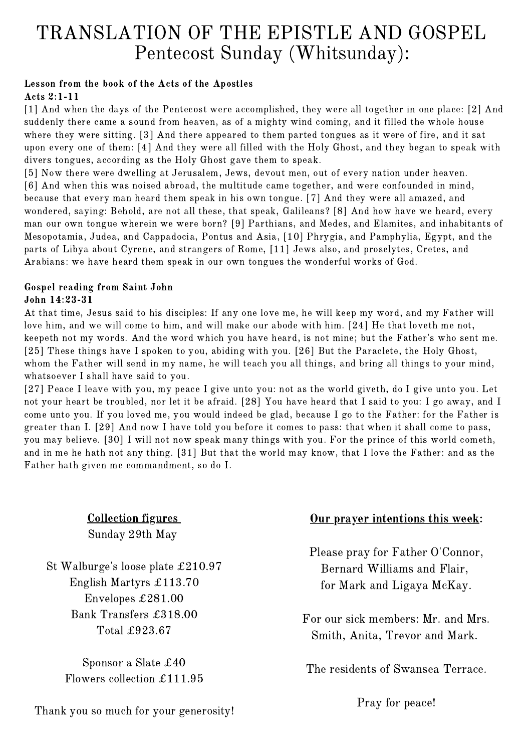# TRANSLATION OF THE EPISTLE AND GOSPEL Pentecost Sunday (Whitsunday):

#### Lesson from the book of the Acts of the Apostles Acts 2:1-11

[\[1\]](http://www.drbo.org/cgi-bin/d?b=drb&bk=51&ch=2&l=1-#x) And when the days of the Pentecost were accomplished, they were all together in one place: [\[2\]](http://www.drbo.org/cgi-bin/d?b=drb&bk=51&ch=2&l=2-#x) And suddenly there came a sound from heaven, as of a mighty wind coming, and it filled the whole house where they were sitting. [\[3\]](http://www.drbo.org/cgi-bin/d?b=drb&bk=51&ch=2&l=3-#x) And there appeared to them parted tongues as it were of fire, and it sat upon every one of them: [\[4\]](http://www.drbo.org/cgi-bin/d?b=drb&bk=51&ch=2&l=4-#x) And they were all filled with the Holy Ghost, and they began to speak with divers tongues, according as the Holy Ghost gave them to speak.

[\[5\]](http://www.drbo.org/cgi-bin/d?b=drb&bk=51&ch=2&l=5-#x) Now there were dwelling at Jerusalem, Jews, devout men, out of every nation under heaven. [\[6\]](http://www.drbo.org/cgi-bin/d?b=drb&bk=51&ch=2&l=6-#x) And when this was noised abroad, the multitude came together, and were confounded in mind, because that every man heard them speak in his own tongue. [\[7\]](http://www.drbo.org/cgi-bin/d?b=drb&bk=51&ch=2&l=7-#x) And they were all amazed, and wondered, saying: Behold, are not all these, that speak, Galileans? [\[8\]](http://www.drbo.org/cgi-bin/d?b=drb&bk=51&ch=2&l=8-#x) And how have we heard, every man our own tongue wherein we were born? [\[9\]](http://www.drbo.org/cgi-bin/d?b=drb&bk=51&ch=2&l=9-#x) Parthians, and Medes, and Elamites, and inhabitants of Mesopotamia, Judea, and Cappadocia, Pontus and Asia, [\[10\]](http://www.drbo.org/cgi-bin/d?b=drb&bk=51&ch=2&l=10-#x) Phrygia, and Pamphylia, Egypt, and the parts of Libya about Cyrene, and strangers of Rome, [\[11\]](http://www.drbo.org/cgi-bin/d?b=drb&bk=51&ch=2&l=11-#x) Jews also, and proselytes, Cretes, and Arabians: we have heard them speak in our own tongues the wonderful works of God.

#### Gospel reading from Saint John John 14:23-31

At that time, Jesus said to his disciples: If any one love me, he will keep my word, and my Father will love him, and we will come to him, and will make our abode with him. [\[24\]](http://www.drbo.org/cgi-bin/d?b=drb&bk=50&ch=14&l=24-#x) He that loveth me not, keepeth not my words. And the word which you have heard, is not mine; but the Father's who sent me. [\[25\]](http://www.drbo.org/cgi-bin/d?b=drb&bk=50&ch=14&l=25-#x) These things have I spoken to you, abiding with you. [\[26\]](http://www.drbo.org/cgi-bin/d?b=drb&bk=50&ch=14&l=26-#x) But the Paraclete, the Holy Ghost, whom the Father will send in my name, he will teach you all things, and bring all things to your mind, whatsoever I shall have said to you.

[\[27\]](http://www.drbo.org/cgi-bin/d?b=drb&bk=50&ch=14&l=27-#x) Peace I leave with you, my peace I give unto you: not as the world giveth, do I give unto you. Let not your heart be troubled, nor let it be afraid. [\[28\]](http://www.drbo.org/cgi-bin/d?b=drb&bk=50&ch=14&l=28-#x) You have heard that I said to you: I go away, and I come unto you. If you loved me, you would indeed be glad, because I go to the Father: for the Father is greater than I. [\[29\]](http://www.drbo.org/cgi-bin/d?b=drb&bk=50&ch=14&l=29-#x) And now I have told you before it comes to pass: that when it shall come to pass, you may believe. [\[30\]](http://www.drbo.org/cgi-bin/d?b=drb&bk=50&ch=14&l=30-#x) I will not now speak many things with you. For the prince of this world cometh, and in me he hath not any thing. [\[31\]](http://www.drbo.org/cgi-bin/d?b=drb&bk=50&ch=14&l=31-#x) But that the world may know, that I love the Father: and as the Father hath given me commandment, so do I.

> Collection figures Sunday 29th May

St Walburge's loose plate £210.97 English Martyrs £113.70 Envelopes £281.00 Bank Transfers £318.00 Total £923.67

> Sponsor a Slate £40 Flowers collection £111.95

#### Our prayer intentions this week:

Please pray for Father O'Connor, Bernard Williams and Flair, for Mark and Ligaya McKay.

For our sick members: Mr. and Mrs. Smith, Anita, Trevor and Mark.

The residents of Swansea Terrace.

Pray for peace!

Thank you so much for your generosity!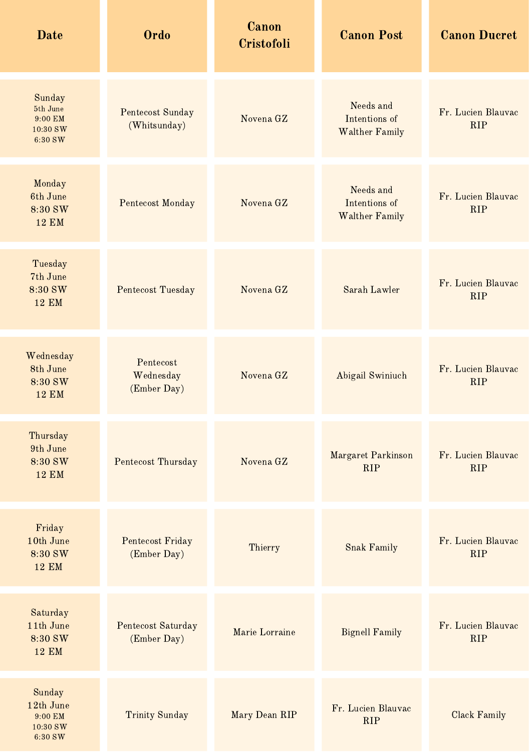| <b>Date</b>                                           | <b>Ordo</b>                             | Canon<br>Cristofoli | <b>Canon Post</b>                                   | <b>Canon Ducret</b>              |
|-------------------------------------------------------|-----------------------------------------|---------------------|-----------------------------------------------------|----------------------------------|
| Sunday<br>5th June<br>9:00 EM<br>10:30 SW<br>6:30 SW  | <b>Pentecost Sunday</b><br>(Whitsunday) | Novena GZ           | Needs and<br>Intentions of<br><b>Walther Family</b> | Fr. Lucien Blauvac<br><b>RIP</b> |
| Monday<br>6th June<br>8:30 SW<br><b>12 EM</b>         | <b>Pentecost Monday</b>                 | Novena GZ           | Needs and<br>Intentions of<br><b>Walther Family</b> | Fr. Lucien Blauvac<br><b>RIP</b> |
| Tuesday<br>7th June<br>8:30 SW<br><b>12 EM</b>        | Pentecost Tuesday                       | Novena GZ           | Sarah Lawler                                        | Fr. Lucien Blauvac<br><b>RIP</b> |
| Wednesday<br>8th June<br>8:30 SW<br><b>12 EM</b>      | Pentecost<br>Wednesday<br>(Ember Day)   | Novena GZ           | Abigail Swiniuch                                    | Fr. Lucien Blauvac<br><b>RIP</b> |
| Thursday<br>9th June<br>8:30 SW<br><b>12 EM</b>       | Pentecost Thursday                      | Novena GZ           | Margaret Parkinson<br><b>RIP</b>                    | Fr. Lucien Blauvac<br><b>RIP</b> |
| Friday<br>10th June<br>8:30 SW<br><b>12 EM</b>        | Pentecost Friday<br>(Ember Day)         | Thierry             | <b>Snak Family</b>                                  | Fr. Lucien Blauvac<br><b>RIP</b> |
| Saturday<br>11th June<br>8:30 SW<br><b>12 EM</b>      | Pentecost Saturday<br>(Ember Day)       | Marie Lorraine      | <b>Bignell Family</b>                               | Fr. Lucien Blauvac<br><b>RIP</b> |
| Sunday<br>12th June<br>9:00 EM<br>10:30 SW<br>6:30 SW | <b>Trinity Sunday</b>                   | Mary Dean RIP       | Fr. Lucien Blauvac<br><b>RIP</b>                    | Clack Family                     |